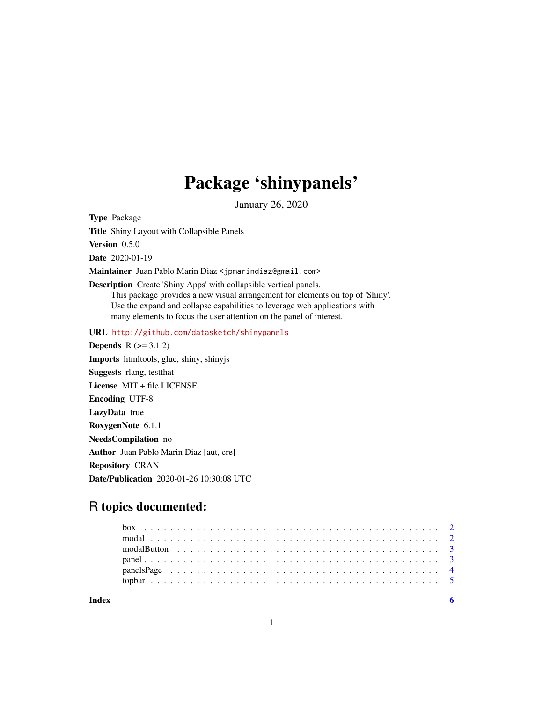## Package 'shinypanels'

January 26, 2020

Type Package

Title Shiny Layout with Collapsible Panels

Version 0.5.0

Date 2020-01-19

Maintainer Juan Pablo Marin Diaz <jpmarindiaz@gmail.com>

Description Create 'Shiny Apps' with collapsible vertical panels. This package provides a new visual arrangement for elements on top of 'Shiny'. Use the expand and collapse capabilities to leverage web applications with many elements to focus the user attention on the panel of interest.

URL <http://github.com/datasketch/shinypanels>

**Depends**  $R$  ( $>= 3.1.2$ ) Imports htmltools, glue, shiny, shinyjs Suggests rlang, testthat License MIT + file LICENSE Encoding UTF-8 LazyData true RoxygenNote 6.1.1 NeedsCompilation no Author Juan Pablo Marin Diaz [aut, cre] Repository CRAN Date/Publication 2020-01-26 10:30:08 UTC

## R topics documented:

| Indev |  |  |  |
|-------|--|--|--|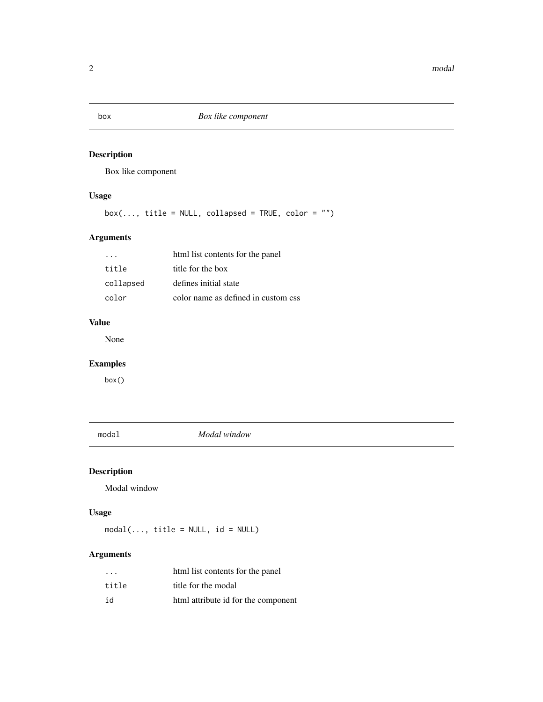## Description

Box like component

## Usage

 $box(..., title = NULL, collapsed = TRUE, color = "")$ 

## Arguments

| $\cdot$ $\cdot$ $\cdot$ | html list contents for the panel    |
|-------------------------|-------------------------------------|
| title                   | title for the box                   |
| collapsed               | defines initial state               |
| color                   | color name as defined in custom css |

## Value

None

## Examples

box()

modal *Modal window*

## Description

Modal window

## Usage

 $modal(..., title = NULL, id = NULL)$ 

## Arguments

| $\cdot$ $\cdot$ $\cdot$ | html list contents for the panel    |
|-------------------------|-------------------------------------|
| title                   | title for the modal                 |
| id                      | html attribute id for the component |

<span id="page-1-0"></span>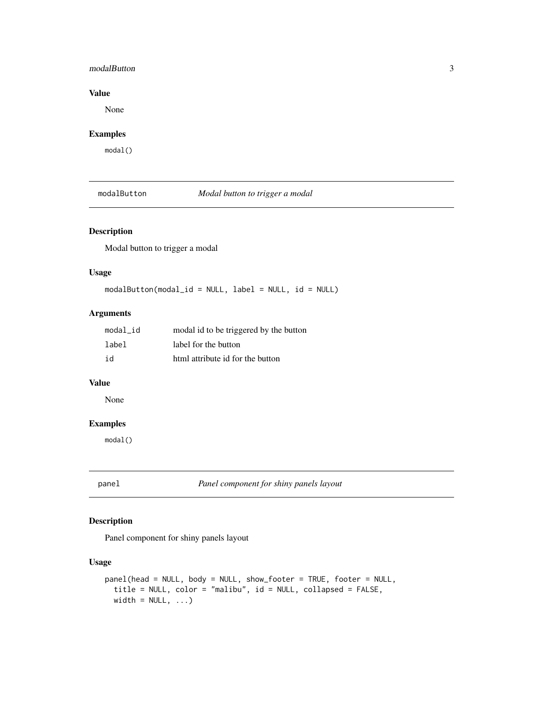#### <span id="page-2-0"></span>modalButton 3

#### Value

None

## Examples

modal()

modalButton *Modal button to trigger a modal*

#### Description

Modal button to trigger a modal

#### Usage

 $modalButton(modal_id = NULL, label = NULL, id = NULL)$ 

#### Arguments

| modal id | modal id to be triggered by the button |
|----------|----------------------------------------|
| label    | label for the button                   |
| id       | html attribute id for the button       |

#### Value

None

#### Examples

modal()

panel *Panel component for shiny panels layout*

#### Description

Panel component for shiny panels layout

#### Usage

```
panel(head = NULL, body = NULL, show_footer = TRUE, footer = NULL,
 title = NULL, color = "malibu", id = NULL, collapsed = FALSE,
width = NULL, ...)
```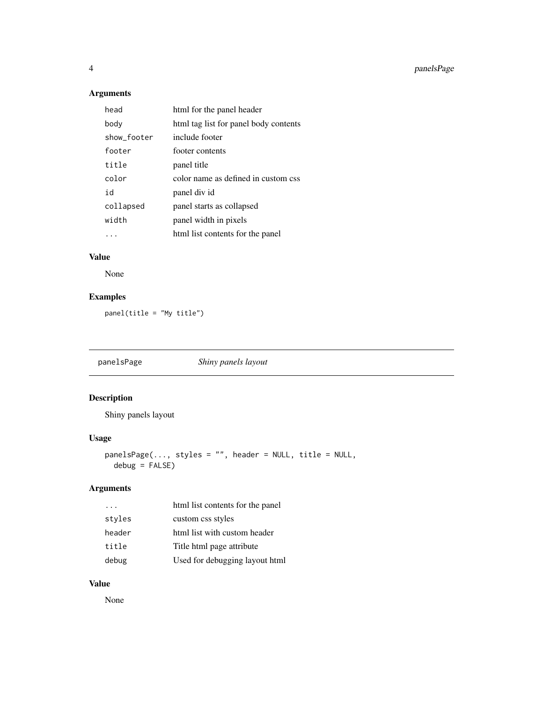<span id="page-3-0"></span>4 panelsPage

## Arguments

| head        | html for the panel header             |
|-------------|---------------------------------------|
| body        | html tag list for panel body contents |
| show footer | include footer                        |
| footer      | footer contents                       |
| title       | panel title                           |
| color       | color name as defined in custom css   |
| h i         | panel div id                          |
| collapsed   | panel starts as collapsed             |
| width       | panel width in pixels                 |
|             | html list contents for the panel      |

## Value

None

## Examples

panel(title = "My title")

panelsPage *Shiny panels layout*

## Description

Shiny panels layout

#### Usage

```
panelsPage(..., styles = "", header = NULL, title = NULL,
 debug = FALSE)
```
## Arguments

|        | html list contents for the panel |
|--------|----------------------------------|
| styles | custom css styles                |
| header | html list with custom header     |
| title  | Title html page attribute        |
| debug  | Used for debugging layout html   |

## Value

None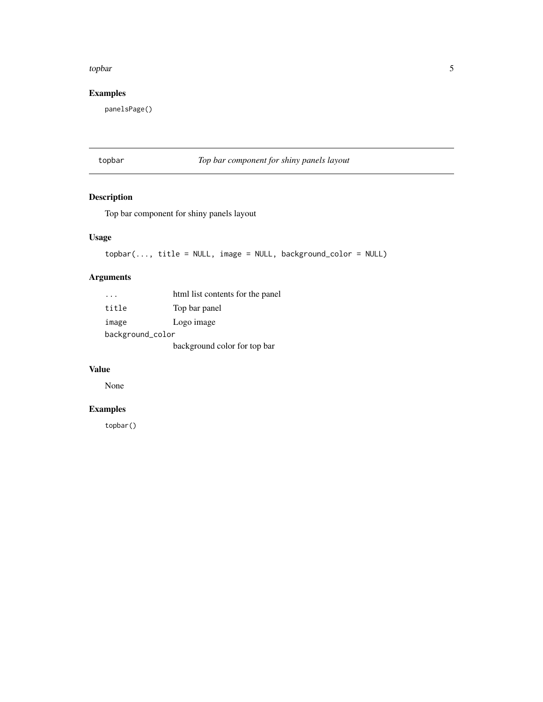#### <span id="page-4-0"></span>topbar 5

## Examples

panelsPage()

## topbar *Top bar component for shiny panels layout*

## Description

Top bar component for shiny panels layout

#### Usage

```
topbar(..., title = NULL, image = NULL, background_color = NULL)
```
## Arguments

|                  | html list contents for the panel |  |
|------------------|----------------------------------|--|
| title            | Top bar panel                    |  |
| image            | Logo image                       |  |
| background_color |                                  |  |
|                  | background color for top bar     |  |

#### Value

None

## Examples

topbar()